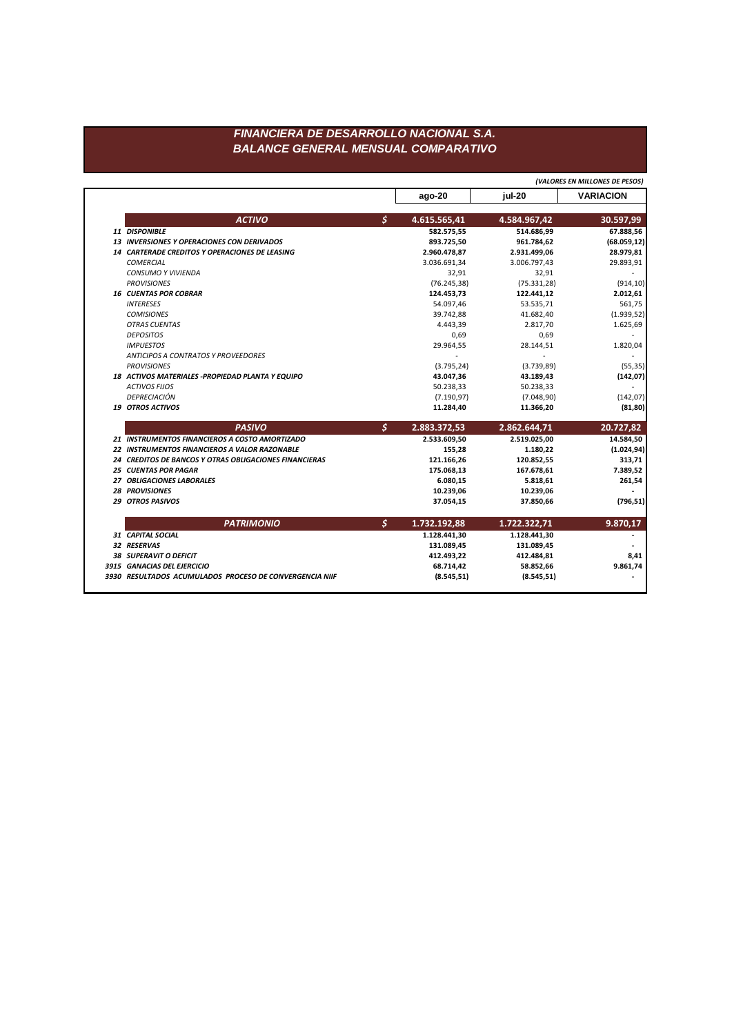## FINANCIERA DE DESARROLLO NACIONAL S.A. **BALANCE GENERAL MENSUAL COMPARATIVO**

|                                                        |                    |              | (VALORES EN MILLONES DE PESOS) |
|--------------------------------------------------------|--------------------|--------------|--------------------------------|
|                                                        | ago-20             | iul-20       | <b>VARIACION</b>               |
| <b>ACTIVO</b>                                          | \$<br>4.615.565,41 | 4.584.967,42 | 30.597,99                      |
| 11 DISPONIBLE                                          | 582.575,55         | 514.686,99   | 67.888,56                      |
| 13 INVERSIONES Y OPERACIONES CON DERIVADOS             | 893.725,50         | 961.784,62   | (68.059, 12)                   |
| 14 CARTERADE CREDITOS Y OPERACIONES DE LEASING         | 2.960.478,87       | 2.931.499,06 | 28.979,81                      |
| <b>COMERCIAL</b>                                       | 3.036.691,34       | 3.006.797,43 | 29.893,91                      |
| <b>CONSUMO Y VIVIENDA</b>                              | 32,91              | 32,91        |                                |
| <b>PROVISIONES</b>                                     | (76.245, 38)       | (75.331, 28) | (914, 10)                      |
| <b>16 CUENTAS POR COBRAR</b>                           | 124.453,73         | 122.441,12   | 2.012,61                       |
| <b>INTERESES</b>                                       | 54.097,46          | 53.535,71    | 561,75                         |
| <b>COMISIONES</b>                                      | 39.742,88          | 41.682,40    | (1.939, 52)                    |
| <b>OTRAS CUENTAS</b>                                   | 4.443,39           | 2.817,70     | 1.625,69                       |
| <b>DEPOSITOS</b>                                       | 0,69               | 0,69         |                                |
| <b>IMPUESTOS</b>                                       | 29.964,55          | 28.144,51    | 1.820,04                       |
| <b>ANTICIPOS A CONTRATOS Y PROVEEDORES</b>             |                    |              |                                |
| <b>PROVISIONES</b>                                     | (3.795, 24)        | (3.739, 89)  | (55, 35)                       |
| 18 ACTIVOS MATERIALES -PROPIEDAD PLANTA Y EQUIPO       | 43.047,36          | 43.189,43    | (142,07)                       |
| <b>ACTIVOS FIJOS</b>                                   | 50.238,33          | 50.238,33    |                                |
| <b>DEPRECIACIÓN</b>                                    | (7.190, 97)        | (7.048, 90)  | (142, 07)                      |
| <b>19 OTROS ACTIVOS</b>                                | 11.284,40          | 11.366,20    | (81, 80)                       |
| <b>PASIVO</b>                                          | \$<br>2.883.372,53 | 2.862.644,71 | 20.727,82                      |
| 21 INSTRUMENTOS FINANCIEROS A COSTO AMORTIZADO         | 2.533.609,50       | 2.519.025,00 | 14.584,50                      |
| 22 INSTRUMENTOS FINANCIEROS A VALOR RAZONABLE          | 155,28             | 1.180,22     | (1.024, 94)                    |
| 24 CREDITOS DE BANCOS Y OTRAS OBLIGACIONES FINANCIERAS | 121.166,26         | 120.852,55   | 313,71                         |
| <b>25 CUENTAS POR PAGAR</b>                            | 175.068,13         | 167.678,61   | 7.389,52                       |
| 27 OBLIGACIONES LABORALES                              | 6.080,15           | 5.818,61     | 261,54                         |
| <b>28 PROVISIONES</b>                                  | 10.239,06          | 10.239,06    |                                |
| <b>29 OTROS PASIVOS</b>                                | 37.054,15          | 37.850,66    | (796, 51)                      |
| <b>PATRIMONIO</b>                                      | \$<br>1.732.192,88 | 1.722.322,71 | 9.870,17                       |
| 31 CAPITAL SOCIAL                                      | 1.128.441,30       | 1.128.441,30 |                                |
| 32 RESERVAS                                            | 131.089,45         | 131.089,45   |                                |
| <b>38 SUPERAVIT O DEFICIT</b>                          | 412.493,22         | 412.484,81   | 8,41                           |
|                                                        |                    |              |                                |
| 3915 GANACIAS DEL EJERCICIO                            | 68.714,42          | 58.852,66    | 9.861,74                       |